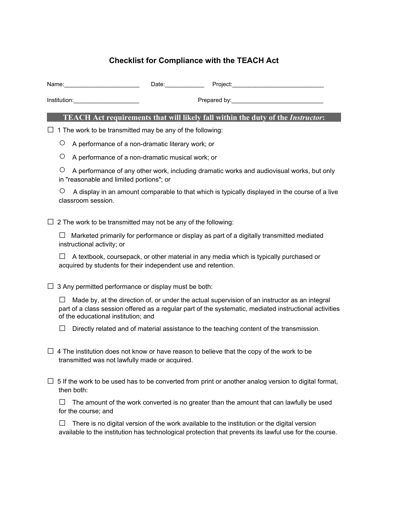## **Checklist for Compliance with the TEACH Act**

|  |   | Date: Project: Project:                                                                                                                                                                                 |
|--|---|---------------------------------------------------------------------------------------------------------------------------------------------------------------------------------------------------------|
|  |   |                                                                                                                                                                                                         |
|  |   | <b>TEACH Act requirements that will likely fall within the duty of the Instructor:</b>                                                                                                                  |
|  |   | $\Box$ 1 The work to be transmitted may be any of the following:                                                                                                                                        |
|  | O | A performance of a non-dramatic literary work; or                                                                                                                                                       |
|  | Ő | A performance of a non-dramatic musical work; or                                                                                                                                                        |
|  | Ő | A performance of any other work, including dramatic works and audiovisual works, but only<br>in "reasonable and limited portions"; or                                                                   |
|  | O | A display in an amount comparable to that which is typically displayed in the course of a live<br>classroom session.                                                                                    |
|  |   | $\Box$ 2 The work to be transmitted may not be any of the following:                                                                                                                                    |
|  |   | Marketed primarily for performance or display as part of a digitally transmitted mediated<br>instructional activity; or                                                                                 |
|  |   | A textbook, coursepack, or other material in any media which is typically purchased or<br>acquired by students for their independent use and retention.                                                 |
|  |   | $\Box$ 3 Any permitted performance or display must be both:                                                                                                                                             |
|  |   | Made by, at the direction of, or under the actual supervision of an instructor as an integral<br>nart of a class session offered as a requier part of the systematic, mediated instructional activities |

part of a class session offered as a regular part of the systematic, mediated instructional activities of the educational institution; and

**□** Directly related and of material assistance to the teaching content of the transmission.

- □ 4 The institution does not know or have reason to believe that the copy of the work to be transmitted was not lawfully made or acquired.
- **□** 5 If the work to be used has to be converted from print or another analog version to digital format, then both:

**□** The amount of the work converted is no greater than the amount that can lawfully be used for the course; and

**□** There is no digital version of the work available to the institution or the digital version available to the institution has technological protection that prevents its lawful use for the course.